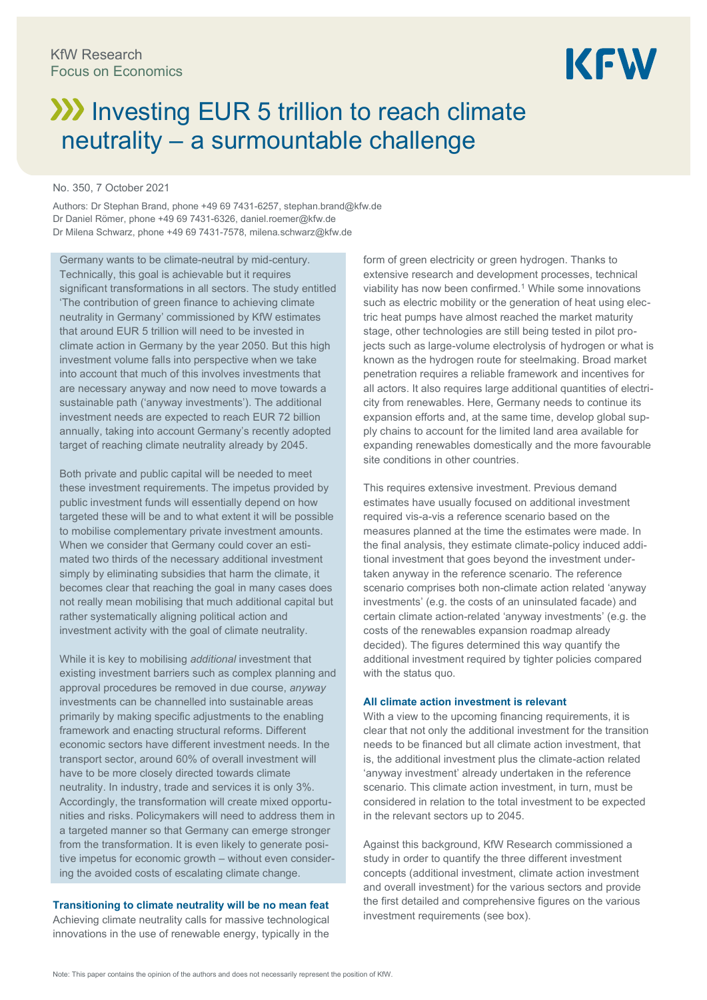# **III** Investing EUR 5 trillion to reach climate neutrality – a surmountable challenge

# No. 350, 7 October 2021

Authors: Dr Stephan Brand, phone +49 69 7431-6257, [stephan.brand@kfw.de](mailto:stephan.brand@kfw.de) Dr Daniel Römer, phone +49 69 7431-6326[, daniel.roemer@kfw.de](mailto:daniel.roemer@kfw.de) Dr Milena Schwarz, phone +49 69 7431-7578, milena.schwarz@kfw.de

Germany wants to be climate-neutral by mid-century. Technically, this goal is achievable but it requires significant transformations in all sectors. The study entitled 'The contribution of green finance to achieving climate neutrality in Germany' commissioned by KfW estimates that around EUR 5 trillion will need to be invested in climate action in Germany by the year 2050. But this high investment volume falls into perspective when we take into account that much of this involves investments that are necessary anyway and now need to move towards a sustainable path ('anyway investments'). The additional investment needs are expected to reach EUR 72 billion annually, taking into account Germany's recently adopted target of reaching climate neutrality already by 2045.

Both private and public capital will be needed to meet these investment requirements. The impetus provided by public investment funds will essentially depend on how targeted these will be and to what extent it will be possible to mobilise complementary private investment amounts. When we consider that Germany could cover an estimated two thirds of the necessary additional investment simply by eliminating subsidies that harm the climate, it becomes clear that reaching the goal in many cases does not really mean mobilising that much additional capital but rather systematically aligning political action and investment activity with the goal of climate neutrality.

While it is key to mobilising *additional* investment that existing investment barriers such as complex planning and approval procedures be removed in due course, *anyway* investments can be channelled into sustainable areas primarily by making specific adjustments to the enabling framework and enacting structural reforms. Different economic sectors have different investment needs. In the transport sector, around 60% of overall investment will have to be more closely directed towards climate neutrality. In industry, trade and services it is only 3%. Accordingly, the transformation will create mixed opportunities and risks. Policymakers will need to address them in a targeted manner so that Germany can emerge stronger from the transformation. It is even likely to generate positive impetus for economic growth – without even considering the avoided costs of escalating climate change.

**Transitioning to climate neutrality will be no mean feat** Achieving climate neutrality calls for massive technological innovations in the use of renewable energy, typically in the form of green electricity or green hydrogen. Thanks to extensive research and development processes, technical viability has now been confirmed.<sup>1</sup> While some innovations such as electric mobility or the generation of heat using electric heat pumps have almost reached the market maturity stage, other technologies are still being tested in pilot projects such as large-volume electrolysis of hydrogen or what is known as the hydrogen route for steelmaking. Broad market penetration requires a reliable framework and incentives for all actors. It also requires large additional quantities of electricity from renewables. Here, Germany needs to continue its expansion efforts and, at the same time, develop global supply chains to account for the limited land area available for expanding renewables domestically and the more favourable site conditions in other countries.

This requires extensive investment. Previous demand estimates have usually focused on additional investment required vis-a-vis a reference scenario based on the measures planned at the time the estimates were made. In the final analysis, they estimate climate-policy induced additional investment that goes beyond the investment undertaken anyway in the reference scenario. The reference scenario comprises both non-climate action related 'anyway investments' (e.g. the costs of an uninsulated facade) and certain climate action-related 'anyway investments' (e.g. the costs of the renewables expansion roadmap already decided). The figures determined this way quantify the additional investment required by tighter policies compared with the status quo.

#### **All climate action investment is relevant**

With a view to the upcoming financing requirements, it is clear that not only the additional investment for the transition needs to be financed but all climate action investment, that is, the additional investment plus the climate-action related 'anyway investment' already undertaken in the reference scenario. This climate action investment, in turn, must be considered in relation to the total investment to be expected in the relevant sectors up to 2045.

Against this background, KfW Research commissioned a study in order to quantify the three different investment concepts (additional investment, climate action investment and overall investment) for the various sectors and provide the first detailed and comprehensive figures on the various investment requirements (see box).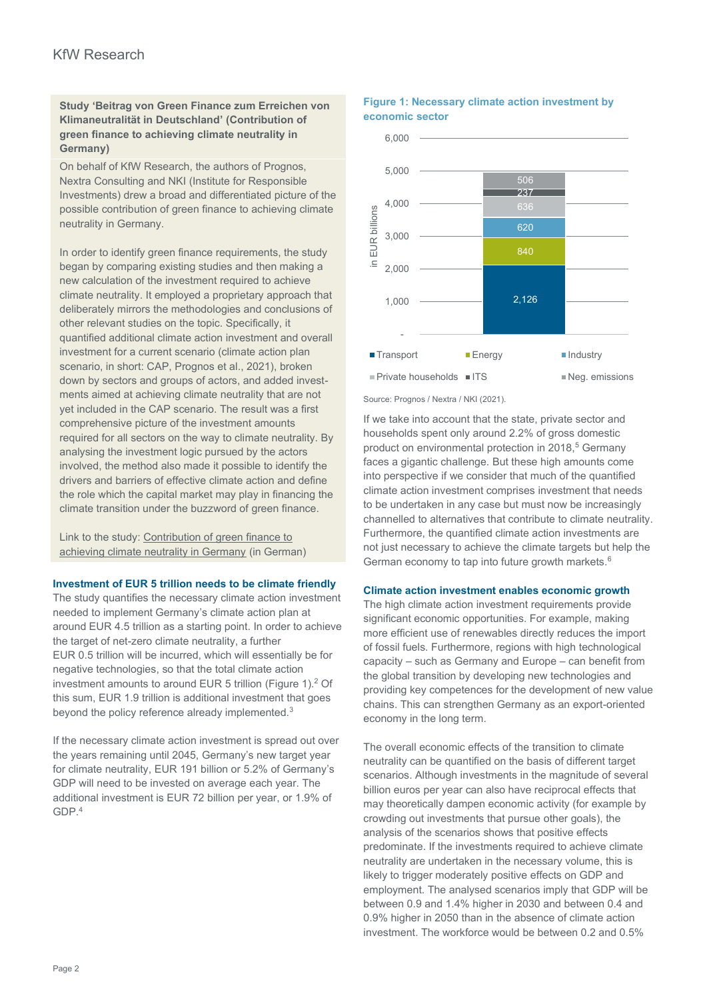# **Study 'Beitrag von Green Finance zum Erreichen von Klimaneutralität in Deutschland' (Contribution of green finance to achieving climate neutrality in Germany)**

On behalf of KfW Research, the authors of Prognos, Nextra Consulting and NKI (Institute for Responsible Investments) drew a broad and differentiated picture of the possible contribution of green finance to achieving climate neutrality in Germany.

In order to identify green finance requirements, the study began by comparing existing studies and then making a new calculation of the investment required to achieve climate neutrality. It employed a proprietary approach that deliberately mirrors the methodologies and conclusions of other relevant studies on the topic. Specifically, it quantified additional climate action investment and overall investment for a current scenario (climate action plan scenario, in short: CAP, Prognos et al., 2021), broken down by sectors and groups of actors, and added investments aimed at achieving climate neutrality that are not yet included in the CAP scenario. The result was a first comprehensive picture of the investment amounts required for all sectors on the way to climate neutrality. By analysing the investment logic pursued by the actors involved, the method also made it possible to identify the drivers and barriers of effective climate action and define the role which the capital market may play in financing the climate transition under the buzzword of green finance.

Link to the study[: Contribution of green finance to](https://www.kfw.de/PDF/Download-Center/Konzernthemen/Research/PDF-Dokumente-Studien-und-Materialien/Green-Finance-und-Klimaneutralitaet.pdf) [achieving climate neutrality in Germany](https://www.kfw.de/PDF/Download-Center/Konzernthemen/Research/PDF-Dokumente-Studien-und-Materialien/Green-Finance-und-Klimaneutralitaet.pdf) (in German)

## **Investment of EUR 5 trillion needs to be climate friendly**

The study quantifies the necessary climate action investment needed to implement Germany's climate action plan at around EUR 4.5 trillion as a starting point. In order to achieve the target of net-zero climate neutrality, a further EUR 0.5 trillion will be incurred, which will essentially be for negative technologies, so that the total climate action investment amounts to around EUR 5 trillion (Figure 1). <sup>2</sup> Of this sum, EUR 1.9 trillion is additional investment that goes beyond the policy reference already implemented.<sup>3</sup>

If the necessary climate action investment is spread out over the years remaining until 2045, Germany's new target year for climate neutrality, EUR 191 billion or 5.2% of Germany's GDP will need to be invested on average each year. The additional investment is EUR 72 billion per year, or 1.9% of GDP.<sup>4</sup>

### **Figure 1: Necessary climate action investment by economic sector**



Source: Prognos / Nextra / NKI (2021).

If we take into account that the state, private sector and households spent only around 2.2% of gross domestic product on environmental protection in 2018,<sup>5</sup> Germany faces a gigantic challenge. But these high amounts come into perspective if we consider that much of the quantified climate action investment comprises investment that needs to be undertaken in any case but must now be increasingly channelled to alternatives that contribute to climate neutrality. Furthermore, the quantified climate action investments are not just necessary to achieve the climate targets but help the German economy to tap into future growth markets.<sup>6</sup>

## **Climate action investment enables economic growth**

The high climate action investment requirements provide significant economic opportunities. For example, making more efficient use of renewables directly reduces the import of fossil fuels. Furthermore, regions with high technological capacity – such as Germany and Europe – can benefit from the global transition by developing new technologies and providing key competences for the development of new value chains. This can strengthen Germany as an export-oriented economy in the long term.

The overall economic effects of the transition to climate neutrality can be quantified on the basis of different target scenarios. Although investments in the magnitude of several billion euros per year can also have reciprocal effects that may theoretically dampen economic activity (for example by crowding out investments that pursue other goals), the analysis of the scenarios shows that positive effects predominate. If the investments required to achieve climate neutrality are undertaken in the necessary volume, this is likely to trigger moderately positive effects on GDP and employment. The analysed scenarios imply that GDP will be between 0.9 and 1.4% higher in 2030 and between 0.4 and 0.9% higher in 2050 than in the absence of climate action investment. The workforce would be between 0.2 and 0.5%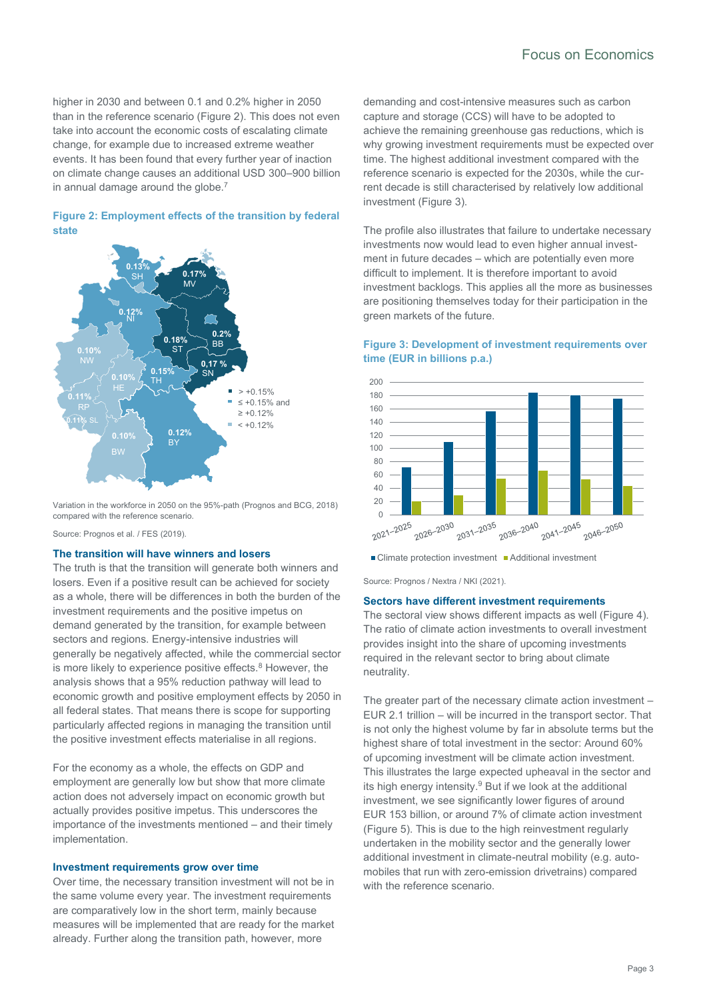higher in 2030 and between 0.1 and 0.2% higher in 2050 than in the reference scenario (Figure 2). This does not even take into account the economic costs of escalating climate change, for example due to increased extreme weather events. It has been found that every further year of inaction on climate change causes an additional USD 300–900 billion in annual damage around the globe.<sup>7</sup>

## **Figure 2: Employment effects of the transition by federal state**



Variation in the workforce in 2050 on the 95%-path (Prognos and BCG, 2018) compared with the reference scenario.

Source: Prognos et al. / FES (2019).

## **The transition will have winners and losers**

The truth is that the transition will generate both winners and losers. Even if a positive result can be achieved for society as a whole, there will be differences in both the burden of the investment requirements and the positive impetus on demand generated by the transition, for example between sectors and regions. Energy-intensive industries will generally be negatively affected, while the commercial sector is more likely to experience positive effects.<sup>8</sup> However, the analysis shows that a 95% reduction pathway will lead to economic growth and positive employment effects by 2050 in all federal states. That means there is scope for supporting particularly affected regions in managing the transition until the positive investment effects materialise in all regions.

For the economy as a whole, the effects on GDP and employment are generally low but show that more climate action does not adversely impact on economic growth but actually provides positive impetus. This underscores the importance of the investments mentioned – and their timely implementation.

## **Investment requirements grow over time**

Over time, the necessary transition investment will not be in the same volume every year. The investment requirements are comparatively low in the short term, mainly because measures will be implemented that are ready for the market already. Further along the transition path, however, more

demanding and cost-intensive measures such as carbon capture and storage (CCS) will have to be adopted to achieve the remaining greenhouse gas reductions, which is why growing investment requirements must be expected over time. The highest additional investment compared with the reference scenario is expected for the 2030s, while the current decade is still characterised by relatively low additional investment (Figure 3).

The profile also illustrates that failure to undertake necessary investments now would lead to even higher annual investment in future decades – which are potentially even more difficult to implement. It is therefore important to avoid investment backlogs. This applies all the more as businesses are positioning themselves today for their participation in the green markets of the future.

# **Figure 3: Development of investment requirements over time (EUR in billions p.a.)**



■ Climate protection investment ■ Additional investment

Source: Prognos / Nextra / NKI (2021).

#### **Sectors have different investment requirements**

The sectoral view shows different impacts as well (Figure 4). The ratio of climate action investments to overall investment provides insight into the share of upcoming investments required in the relevant sector to bring about climate neutrality.

The greater part of the necessary climate action investment – EUR 2.1 trillion – will be incurred in the transport sector. That is not only the highest volume by far in absolute terms but the highest share of total investment in the sector: Around 60% of upcoming investment will be climate action investment. This illustrates the large expected upheaval in the sector and its high energy intensity.<sup>9</sup> But if we look at the additional investment, we see significantly lower figures of around EUR 153 billion, or around 7% of climate action investment (Figure 5). This is due to the high reinvestment regularly undertaken in the mobility sector and the generally lower additional investment in climate-neutral mobility (e.g. automobiles that run with zero-emission drivetrains) compared with the reference scenario.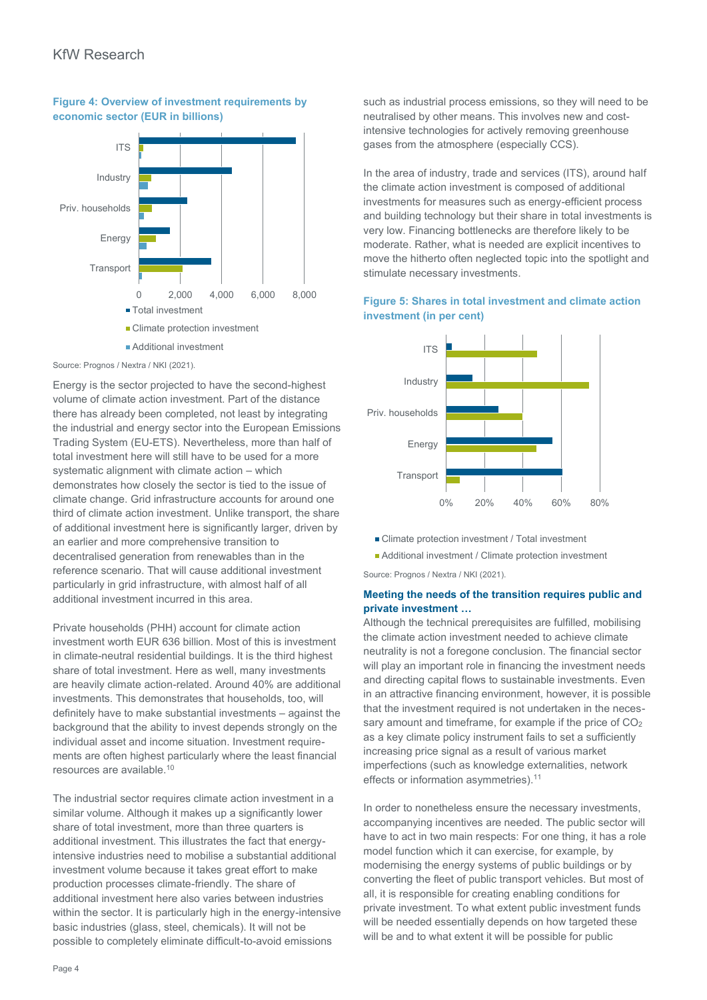

# **Figure 4: Overview of investment requirements by economic sector (EUR in billions)**

Source: Prognos / Nextra / NKI (2021).

Energy is the sector projected to have the second-highest volume of climate action investment. Part of the distance there has already been completed, not least by integrating the industrial and energy sector into the European Emissions Trading System (EU-ETS). Nevertheless, more than half of total investment here will still have to be used for a more systematic alignment with climate action – which demonstrates how closely the sector is tied to the issue of climate change. Grid infrastructure accounts for around one third of climate action investment. Unlike transport, the share of additional investment here is significantly larger, driven by an earlier and more comprehensive transition to decentralised generation from renewables than in the reference scenario. That will cause additional investment particularly in grid infrastructure, with almost half of all additional investment incurred in this area.

Private households (PHH) account for climate action investment worth EUR 636 billion. Most of this is investment in climate-neutral residential buildings. It is the third highest share of total investment. Here as well, many investments are heavily climate action-related. Around 40% are additional investments. This demonstrates that households, too, will definitely have to make substantial investments – against the background that the ability to invest depends strongly on the individual asset and income situation. Investment requirements are often highest particularly where the least financial resources are available.<sup>10</sup>

The industrial sector requires climate action investment in a similar volume. Although it makes up a significantly lower share of total investment, more than three quarters is additional investment. This illustrates the fact that energyintensive industries need to mobilise a substantial additional investment volume because it takes great effort to make production processes climate-friendly. The share of additional investment here also varies between industries within the sector. It is particularly high in the energy-intensive basic industries (glass, steel, chemicals). It will not be possible to completely eliminate difficult-to-avoid emissions

such as industrial process emissions, so they will need to be neutralised by other means. This involves new and costintensive technologies for actively removing greenhouse gases from the atmosphere (especially CCS).

In the area of industry, trade and services (ITS), around half the climate action investment is composed of additional investments for measures such as energy-efficient process and building technology but their share in total investments is very low. Financing bottlenecks are therefore likely to be moderate. Rather, what is needed are explicit incentives to move the hitherto often neglected topic into the spotlight and stimulate necessary investments.

# **Figure 5: Shares in total investment and climate action investment (in per cent)**



- Climate protection investment / Total investment
- Additional investment / Climate protection investment

Source: Prognos / Nextra / NKI (2021).

# **Meeting the needs of the transition requires public and private investment …**

Although the technical prerequisites are fulfilled, mobilising the climate action investment needed to achieve climate neutrality is not a foregone conclusion. The financial sector will play an important role in financing the investment needs and directing capital flows to sustainable investments. Even in an attractive financing environment, however, it is possible that the investment required is not undertaken in the necessary amount and timeframe, for example if the price of CO<sub>2</sub> as a key climate policy instrument fails to set a sufficiently increasing price signal as a result of various market imperfections (such as knowledge externalities, network effects or information asymmetries).<sup>11</sup>

In order to nonetheless ensure the necessary investments, accompanying incentives are needed. The public sector will have to act in two main respects: For one thing, it has a role model function which it can exercise, for example, by modernising the energy systems of public buildings or by converting the fleet of public transport vehicles. But most of all, it is responsible for creating enabling conditions for private investment. To what extent public investment funds will be needed essentially depends on how targeted these will be and to what extent it will be possible for public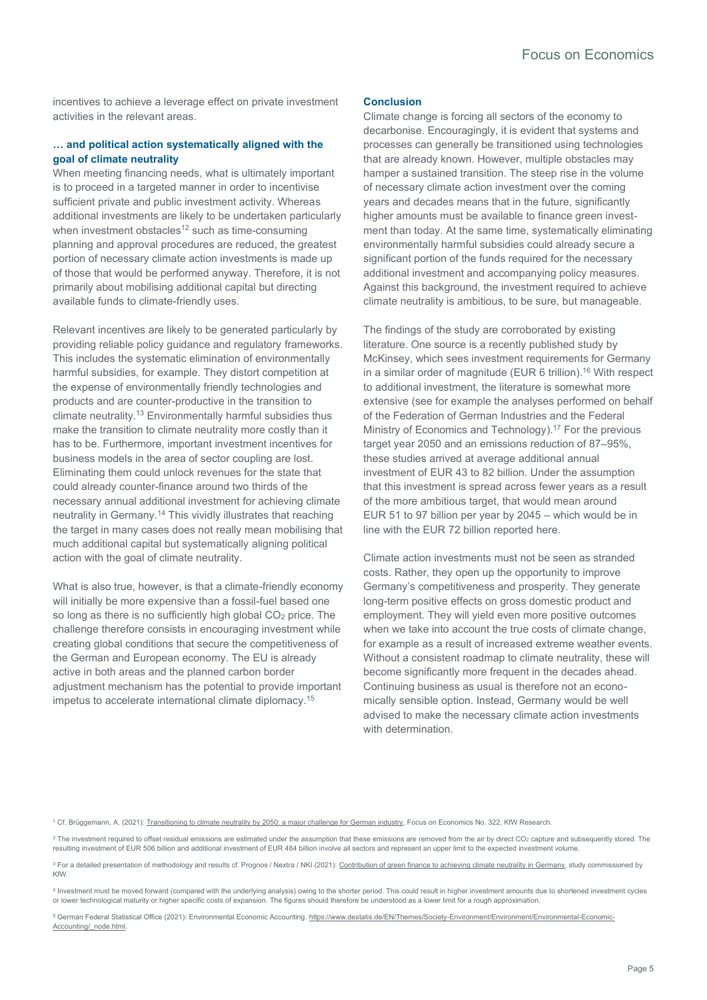incentives to achieve a leverage effect on private investment activities in the relevant areas.

## **… and political action systematically aligned with the goal of climate neutrality**

When meeting financing needs, what is ultimately important is to proceed in a targeted manner in order to incentivise sufficient private and public investment activity. Whereas additional investments are likely to be undertaken particularly when investment obstacles<sup>12</sup> such as time-consuming planning and approval procedures are reduced, the greatest portion of necessary climate action investments is made up of those that would be performed anyway. Therefore, it is not primarily about mobilising additional capital but directing available funds to climate-friendly uses.

Relevant incentives are likely to be generated particularly by providing reliable policy guidance and regulatory frameworks. This includes the systematic elimination of environmentally harmful subsidies, for example. They distort competition at the expense of environmentally friendly technologies and products and are counter-productive in the transition to climate neutrality.<sup>13</sup> Environmentally harmful subsidies thus make the transition to climate neutrality more costly than it has to be. Furthermore, important investment incentives for business models in the area of sector coupling are lost. Eliminating them could unlock revenues for the state that could already counter-finance around two thirds of the necessary annual additional investment for achieving climate neutrality in Germany.<sup>14</sup> This vividly illustrates that reaching the target in many cases does not really mean mobilising that much additional capital but systematically aligning political action with the goal of climate neutrality.

What is also true, however, is that a climate-friendly economy will initially be more expensive than a fossil-fuel based one so long as there is no sufficiently high global CO<sub>2</sub> price. The challenge therefore consists in encouraging investment while creating global conditions that secure the competitiveness of the German and European economy. The EU is already active in both areas and the planned carbon border adjustment mechanism has the potential to provide important impetus to accelerate international climate diplomacy.<sup>15</sup>

#### **Conclusion**

Climate change is forcing all sectors of the economy to decarbonise. Encouragingly, it is evident that systems and processes can generally be transitioned using technologies that are already known. However, multiple obstacles may hamper a sustained transition. The steep rise in the volume of necessary climate action investment over the coming years and decades means that in the future, significantly higher amounts must be available to finance green investment than today. At the same time, systematically eliminating environmentally harmful subsidies could already secure a significant portion of the funds required for the necessary additional investment and accompanying policy measures. Against this background, the investment required to achieve climate neutrality is ambitious, to be sure, but manageable.

The findings of the study are corroborated by existing literature. One source is a recently published study by McKinsey, which sees investment requirements for Germany in a similar order of magnitude (EUR 6 trillion).<sup>16</sup> With respect to additional investment, the literature is somewhat more extensive (see for example the analyses performed on behalf of the Federation of German Industries and the Federal Ministry of Economics and Technology). <sup>17</sup> For the previous target year 2050 and an emissions reduction of 87–95%, these studies arrived at average additional annual investment of EUR 43 to 82 billion. Under the assumption that this investment is spread across fewer years as a result of the more ambitious target, that would mean around EUR 51 to 97 billion per year by 2045 – which would be in line with the EUR 72 billion reported here.

Climate action investments must not be seen as stranded costs. Rather, they open up the opportunity to improve Germany's competitiveness and prosperity. They generate long-term positive effects on gross domestic product and employment. They will yield even more positive outcomes when we take into account the true costs of climate change, for example as a result of increased extreme weather events. Without a consistent roadmap to climate neutrality, these will become significantly more frequent in the decades ahead. Continuing business as usual is therefore not an economically sensible option. Instead, Germany would be well advised to make the necessary climate action investments with determination.

<sup>1</sup> Cf. Brüggemann, A. (2021)[: Transitioning to climate neutrality by 2050: a major challenge for German industry,](https://www.kfw.de/PDF/Download-Center/Konzernthemen/Research/PDF-Dokumente-Fokus-Volkswirtschaft/Fokus-englische-Dateien/Fokus-2021-EN/Focus-No.-322-March-2021-Climate-neutral-industry.pdf) Focus on Economics No. 322, KfW Research

<sup>2</sup> The investment required to offset residual emissions are estimated under the assumption that these emissions are removed from the air by direct CO<sub>2</sub> capture and subsequently stored. The resulting investment of EUR 506 billion and additional investment of EUR 484 billion involve all sectors and represent an upper limit to the expected investment volume.

<sup>3</sup> For a detailed presentation of methodology and results cf. Prognos / Nextra / NKI (2021)[: Contribution of green finance to achieving climate neutrality](https://www.kfw.de/PDF/Download-Center/Konzernthemen/Research/PDF-Dokumente-Studien-und-Materialien/Green-Finance-und-Klimaneutralitaet.pdf) in Germany, study commissioned by KfW.

4 Investment must be moved forward (compared with the underlying analysis) owing to the shorter period. This could result in higher investment amounts due to shortened investment cycles or lower technological maturity or higher specific costs of expansion. The figures should therefore be understood as a lower limit for a rough approximation.

5 German Federal Statistical Office (2021): Environmental Economic Accounting. https://www.destatis.de/EN/Themes/Society-Environment/Environment/Environment/Environmental-Economic-Accounting/\_node.html